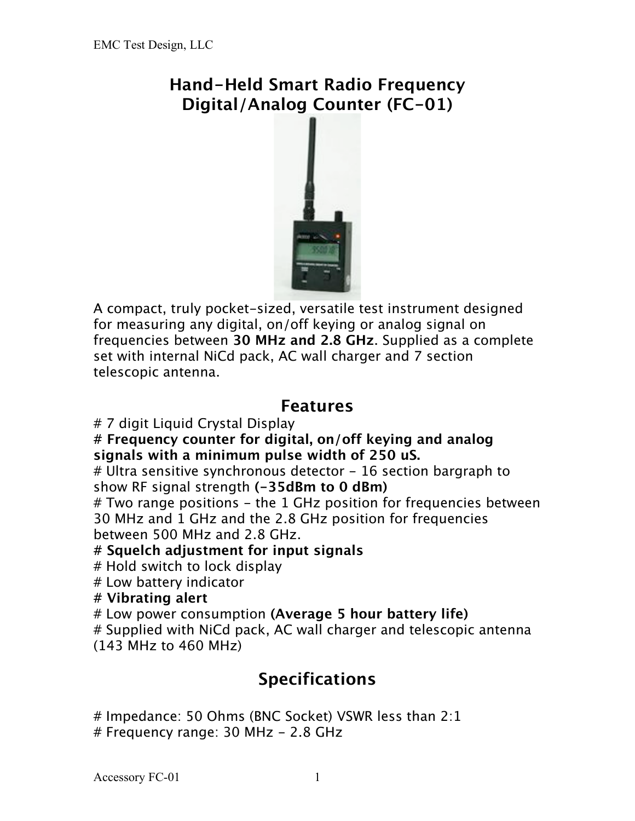## **Hand-Held Smart Radio Frequency Digital/Analog Counter (FC-01)**



A compact, truly pocket-sized, versatile test instrument designed for measuring any digital, on/off keying or analog signal on frequencies between **30 MHz and 2.8 GHz**. Supplied as a complete set with internal NiCd pack, AC wall charger and 7 section telescopic antenna.

## **Features**

# 7 digit Liquid Crystal Display

**# Frequency counter for digital, on/off keying and analog signals with a minimum pulse width of 250 uS.**

 $#$  Ultra sensitive synchronous detector  $-16$  section bargraph to show RF signal strength **(-35dBm to 0 dBm)**

# Two range positions - the 1 GHz position for frequencies between 30 MHz and 1 GHz and the 2.8 GHz position for frequencies between 500 MHz and 2.8 GHz.

#### **# Squelch adjustment for input signals**

# Hold switch to lock display

# Low battery indicator

#### **# Vibrating alert**

# Low power consumption **(Average 5 hour battery life)**

# Supplied with NiCd pack, AC wall charger and telescopic antenna (143 MHz to 460 MHz)

# **Specifications**

# Impedance: 50 Ohms (BNC Socket) VSWR less than 2:1  $#$  Frequency range: 30 MHz  $-$  2.8 GHz